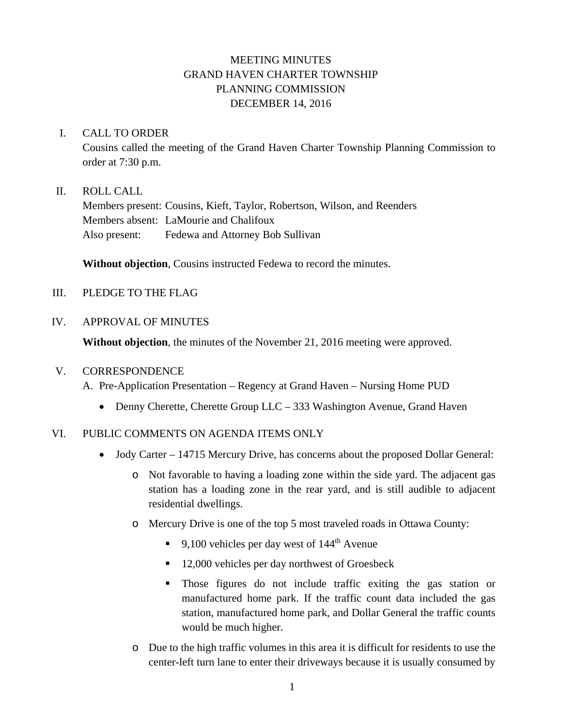# MEETING MINUTES GRAND HAVEN CHARTER TOWNSHIP PLANNING COMMISSION DECEMBER 14, 2016

## I. CALL TO ORDER

Cousins called the meeting of the Grand Haven Charter Township Planning Commission to order at 7:30 p.m.

## II. ROLL CALL

Members present: Cousins, Kieft, Taylor, Robertson, Wilson, and Reenders Members absent: LaMourie and Chalifoux Also present: Fedewa and Attorney Bob Sullivan

**Without objection**, Cousins instructed Fedewa to record the minutes.

## III. PLEDGE TO THE FLAG

## IV. APPROVAL OF MINUTES

**Without objection**, the minutes of the November 21, 2016 meeting were approved.

#### V. CORRESPONDENCE

A. Pre-Application Presentation – Regency at Grand Haven – Nursing Home PUD

• Denny Cherette, Cherette Group LLC – 333 Washington Avenue, Grand Haven

# VI. PUBLIC COMMENTS ON AGENDA ITEMS ONLY

- Jody Carter 14715 Mercury Drive, has concerns about the proposed Dollar General:
	- o Not favorable to having a loading zone within the side yard. The adjacent gas station has a loading zone in the rear yard, and is still audible to adjacent residential dwellings.
	- o Mercury Drive is one of the top 5 most traveled roads in Ottawa County:
		- 9,100 vehicles per day west of  $144<sup>th</sup>$  Avenue
		- 12,000 vehicles per day northwest of Groesbeck
		- Those figures do not include traffic exiting the gas station or manufactured home park. If the traffic count data included the gas station, manufactured home park, and Dollar General the traffic counts would be much higher.
	- o Due to the high traffic volumes in this area it is difficult for residents to use the center-left turn lane to enter their driveways because it is usually consumed by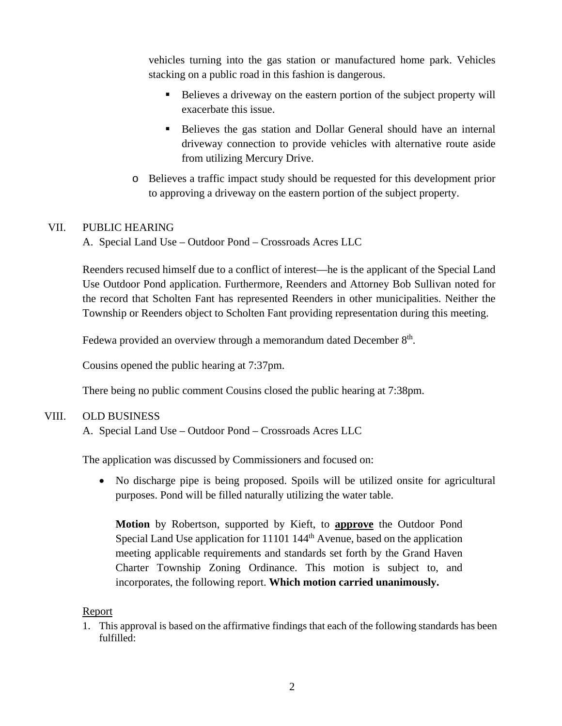vehicles turning into the gas station or manufactured home park. Vehicles stacking on a public road in this fashion is dangerous.

- Believes a driveway on the eastern portion of the subject property will exacerbate this issue.
- Believes the gas station and Dollar General should have an internal driveway connection to provide vehicles with alternative route aside from utilizing Mercury Drive.
- o Believes a traffic impact study should be requested for this development prior to approving a driveway on the eastern portion of the subject property.

## VII. PUBLIC HEARING

A. Special Land Use – Outdoor Pond – Crossroads Acres LLC

Reenders recused himself due to a conflict of interest—he is the applicant of the Special Land Use Outdoor Pond application. Furthermore, Reenders and Attorney Bob Sullivan noted for the record that Scholten Fant has represented Reenders in other municipalities. Neither the Township or Reenders object to Scholten Fant providing representation during this meeting.

Fedewa provided an overview through a memorandum dated December 8<sup>th</sup>.

Cousins opened the public hearing at 7:37pm.

There being no public comment Cousins closed the public hearing at 7:38pm.

#### VIII. OLD BUSINESS

A. Special Land Use – Outdoor Pond – Crossroads Acres LLC

The application was discussed by Commissioners and focused on:

• No discharge pipe is being proposed. Spoils will be utilized onsite for agricultural purposes. Pond will be filled naturally utilizing the water table.

**Motion** by Robertson, supported by Kieft, to **approve** the Outdoor Pond Special Land Use application for 11101 144<sup>th</sup> Avenue, based on the application meeting applicable requirements and standards set forth by the Grand Haven Charter Township Zoning Ordinance. This motion is subject to, and incorporates, the following report. **Which motion carried unanimously.**

#### Report

1. This approval is based on the affirmative findings that each of the following standards has been fulfilled: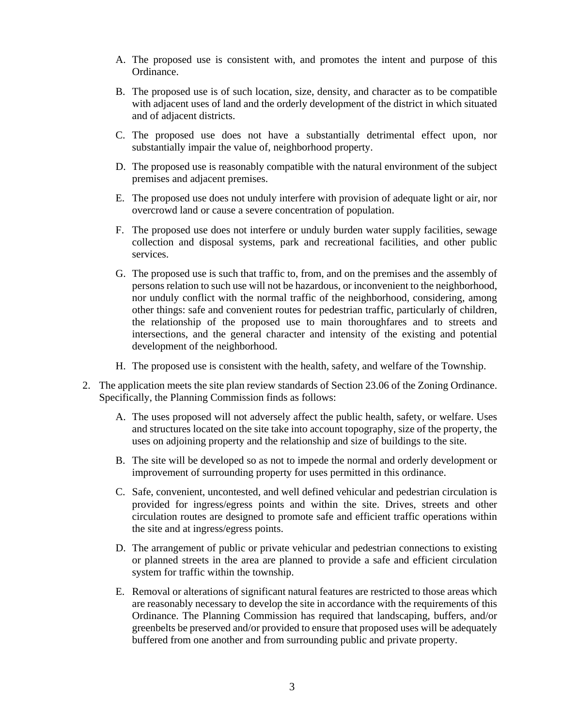- A. The proposed use is consistent with, and promotes the intent and purpose of this Ordinance.
- B. The proposed use is of such location, size, density, and character as to be compatible with adjacent uses of land and the orderly development of the district in which situated and of adjacent districts.
- C. The proposed use does not have a substantially detrimental effect upon, nor substantially impair the value of, neighborhood property.
- D. The proposed use is reasonably compatible with the natural environment of the subject premises and adjacent premises.
- E. The proposed use does not unduly interfere with provision of adequate light or air, nor overcrowd land or cause a severe concentration of population.
- F. The proposed use does not interfere or unduly burden water supply facilities, sewage collection and disposal systems, park and recreational facilities, and other public services.
- G. The proposed use is such that traffic to, from, and on the premises and the assembly of persons relation to such use will not be hazardous, or inconvenient to the neighborhood, nor unduly conflict with the normal traffic of the neighborhood, considering, among other things: safe and convenient routes for pedestrian traffic, particularly of children, the relationship of the proposed use to main thoroughfares and to streets and intersections, and the general character and intensity of the existing and potential development of the neighborhood.
- H. The proposed use is consistent with the health, safety, and welfare of the Township.
- 2. The application meets the site plan review standards of Section 23.06 of the Zoning Ordinance. Specifically, the Planning Commission finds as follows:
	- A. The uses proposed will not adversely affect the public health, safety, or welfare. Uses and structures located on the site take into account topography, size of the property, the uses on adjoining property and the relationship and size of buildings to the site.
	- B. The site will be developed so as not to impede the normal and orderly development or improvement of surrounding property for uses permitted in this ordinance.
	- C. Safe, convenient, uncontested, and well defined vehicular and pedestrian circulation is provided for ingress/egress points and within the site. Drives, streets and other circulation routes are designed to promote safe and efficient traffic operations within the site and at ingress/egress points.
	- D. The arrangement of public or private vehicular and pedestrian connections to existing or planned streets in the area are planned to provide a safe and efficient circulation system for traffic within the township.
	- E. Removal or alterations of significant natural features are restricted to those areas which are reasonably necessary to develop the site in accordance with the requirements of this Ordinance. The Planning Commission has required that landscaping, buffers, and/or greenbelts be preserved and/or provided to ensure that proposed uses will be adequately buffered from one another and from surrounding public and private property.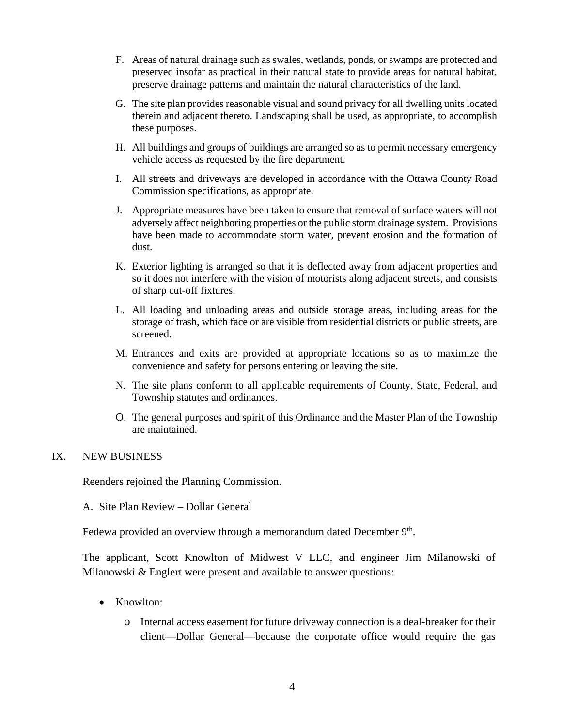- F. Areas of natural drainage such as swales, wetlands, ponds, or swamps are protected and preserved insofar as practical in their natural state to provide areas for natural habitat, preserve drainage patterns and maintain the natural characteristics of the land.
- G. The site plan provides reasonable visual and sound privacy for all dwelling units located therein and adjacent thereto. Landscaping shall be used, as appropriate, to accomplish these purposes.
- H. All buildings and groups of buildings are arranged so as to permit necessary emergency vehicle access as requested by the fire department.
- I. All streets and driveways are developed in accordance with the Ottawa County Road Commission specifications, as appropriate.
- J. Appropriate measures have been taken to ensure that removal of surface waters will not adversely affect neighboring properties or the public storm drainage system. Provisions have been made to accommodate storm water, prevent erosion and the formation of dust.
- K. Exterior lighting is arranged so that it is deflected away from adjacent properties and so it does not interfere with the vision of motorists along adjacent streets, and consists of sharp cut-off fixtures.
- L. All loading and unloading areas and outside storage areas, including areas for the storage of trash, which face or are visible from residential districts or public streets, are screened.
- M. Entrances and exits are provided at appropriate locations so as to maximize the convenience and safety for persons entering or leaving the site.
- N. The site plans conform to all applicable requirements of County, State, Federal, and Township statutes and ordinances.
- O. The general purposes and spirit of this Ordinance and the Master Plan of the Township are maintained.

#### IX. NEW BUSINESS

Reenders rejoined the Planning Commission.

A. Site Plan Review – Dollar General

Fedewa provided an overview through a memorandum dated December 9<sup>th</sup>.

The applicant, Scott Knowlton of Midwest V LLC, and engineer Jim Milanowski of Milanowski & Englert were present and available to answer questions:

- Knowlton:
	- o Internal access easement for future driveway connection is a deal-breaker for their client—Dollar General—because the corporate office would require the gas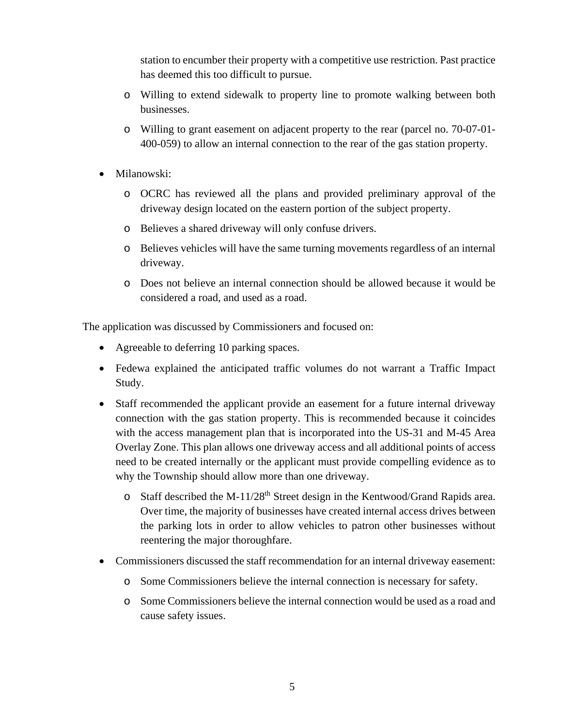station to encumber their property with a competitive use restriction. Past practice has deemed this too difficult to pursue.

- o Willing to extend sidewalk to property line to promote walking between both businesses.
- o Willing to grant easement on adjacent property to the rear (parcel no. 70-07-01- 400-059) to allow an internal connection to the rear of the gas station property.
- Milanowski:
	- o OCRC has reviewed all the plans and provided preliminary approval of the driveway design located on the eastern portion of the subject property.
	- o Believes a shared driveway will only confuse drivers.
	- o Believes vehicles will have the same turning movements regardless of an internal driveway.
	- o Does not believe an internal connection should be allowed because it would be considered a road, and used as a road.

The application was discussed by Commissioners and focused on:

- Agreeable to deferring 10 parking spaces.
- Fedewa explained the anticipated traffic volumes do not warrant a Traffic Impact Study.
- Staff recommended the applicant provide an easement for a future internal driveway connection with the gas station property. This is recommended because it coincides with the access management plan that is incorporated into the US-31 and M-45 Area Overlay Zone. This plan allows one driveway access and all additional points of access need to be created internally or the applicant must provide compelling evidence as to why the Township should allow more than one driveway.
	- $\circ$  Staff described the M-11/28<sup>th</sup> Street design in the Kentwood/Grand Rapids area. Over time, the majority of businesses have created internal access drives between the parking lots in order to allow vehicles to patron other businesses without reentering the major thoroughfare.
- Commissioners discussed the staff recommendation for an internal driveway easement:
	- o Some Commissioners believe the internal connection is necessary for safety.
	- o Some Commissioners believe the internal connection would be used as a road and cause safety issues.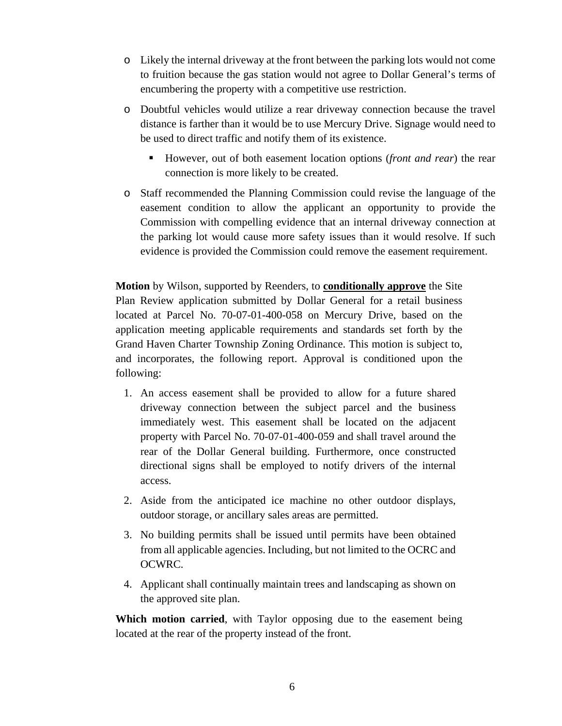- o Likely the internal driveway at the front between the parking lots would not come to fruition because the gas station would not agree to Dollar General's terms of encumbering the property with a competitive use restriction.
- o Doubtful vehicles would utilize a rear driveway connection because the travel distance is farther than it would be to use Mercury Drive. Signage would need to be used to direct traffic and notify them of its existence.
	- However, out of both easement location options (*front and rear*) the rear connection is more likely to be created.
- o Staff recommended the Planning Commission could revise the language of the easement condition to allow the applicant an opportunity to provide the Commission with compelling evidence that an internal driveway connection at the parking lot would cause more safety issues than it would resolve. If such evidence is provided the Commission could remove the easement requirement.

**Motion** by Wilson, supported by Reenders, to **conditionally approve** the Site Plan Review application submitted by Dollar General for a retail business located at Parcel No. 70-07-01-400-058 on Mercury Drive, based on the application meeting applicable requirements and standards set forth by the Grand Haven Charter Township Zoning Ordinance. This motion is subject to, and incorporates, the following report. Approval is conditioned upon the following:

- 1. An access easement shall be provided to allow for a future shared driveway connection between the subject parcel and the business immediately west. This easement shall be located on the adjacent property with Parcel No. 70-07-01-400-059 and shall travel around the rear of the Dollar General building. Furthermore, once constructed directional signs shall be employed to notify drivers of the internal access.
- 2. Aside from the anticipated ice machine no other outdoor displays, outdoor storage, or ancillary sales areas are permitted.
- 3. No building permits shall be issued until permits have been obtained from all applicable agencies. Including, but not limited to the OCRC and OCWRC.
- 4. Applicant shall continually maintain trees and landscaping as shown on the approved site plan.

**Which motion carried**, with Taylor opposing due to the easement being located at the rear of the property instead of the front.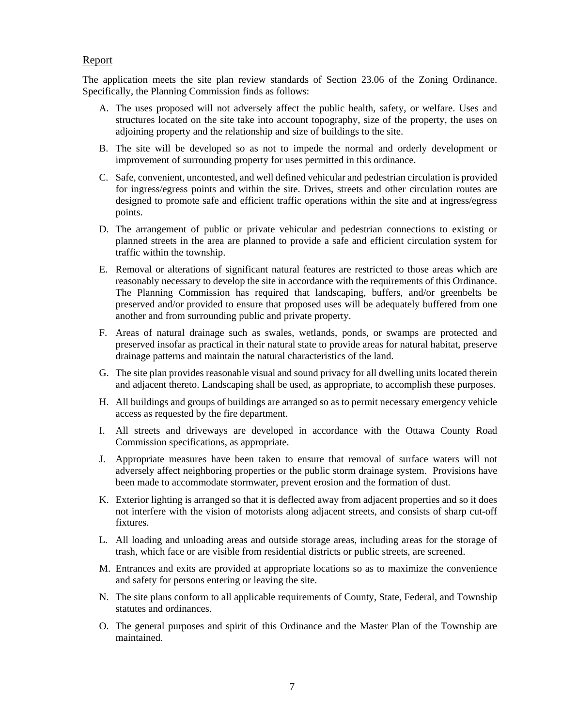#### Report

The application meets the site plan review standards of Section 23.06 of the Zoning Ordinance. Specifically, the Planning Commission finds as follows:

- A. The uses proposed will not adversely affect the public health, safety, or welfare. Uses and structures located on the site take into account topography, size of the property, the uses on adjoining property and the relationship and size of buildings to the site.
- B. The site will be developed so as not to impede the normal and orderly development or improvement of surrounding property for uses permitted in this ordinance.
- C. Safe, convenient, uncontested, and well defined vehicular and pedestrian circulation is provided for ingress/egress points and within the site. Drives, streets and other circulation routes are designed to promote safe and efficient traffic operations within the site and at ingress/egress points.
- D. The arrangement of public or private vehicular and pedestrian connections to existing or planned streets in the area are planned to provide a safe and efficient circulation system for traffic within the township.
- E. Removal or alterations of significant natural features are restricted to those areas which are reasonably necessary to develop the site in accordance with the requirements of this Ordinance. The Planning Commission has required that landscaping, buffers, and/or greenbelts be preserved and/or provided to ensure that proposed uses will be adequately buffered from one another and from surrounding public and private property.
- F. Areas of natural drainage such as swales, wetlands, ponds, or swamps are protected and preserved insofar as practical in their natural state to provide areas for natural habitat, preserve drainage patterns and maintain the natural characteristics of the land.
- G. The site plan provides reasonable visual and sound privacy for all dwelling units located therein and adjacent thereto. Landscaping shall be used, as appropriate, to accomplish these purposes.
- H. All buildings and groups of buildings are arranged so as to permit necessary emergency vehicle access as requested by the fire department.
- I. All streets and driveways are developed in accordance with the Ottawa County Road Commission specifications, as appropriate.
- J. Appropriate measures have been taken to ensure that removal of surface waters will not adversely affect neighboring properties or the public storm drainage system. Provisions have been made to accommodate stormwater, prevent erosion and the formation of dust.
- K. Exterior lighting is arranged so that it is deflected away from adjacent properties and so it does not interfere with the vision of motorists along adjacent streets, and consists of sharp cut-off fixtures.
- L. All loading and unloading areas and outside storage areas, including areas for the storage of trash, which face or are visible from residential districts or public streets, are screened.
- M. Entrances and exits are provided at appropriate locations so as to maximize the convenience and safety for persons entering or leaving the site.
- N. The site plans conform to all applicable requirements of County, State, Federal, and Township statutes and ordinances.
- O. The general purposes and spirit of this Ordinance and the Master Plan of the Township are maintained.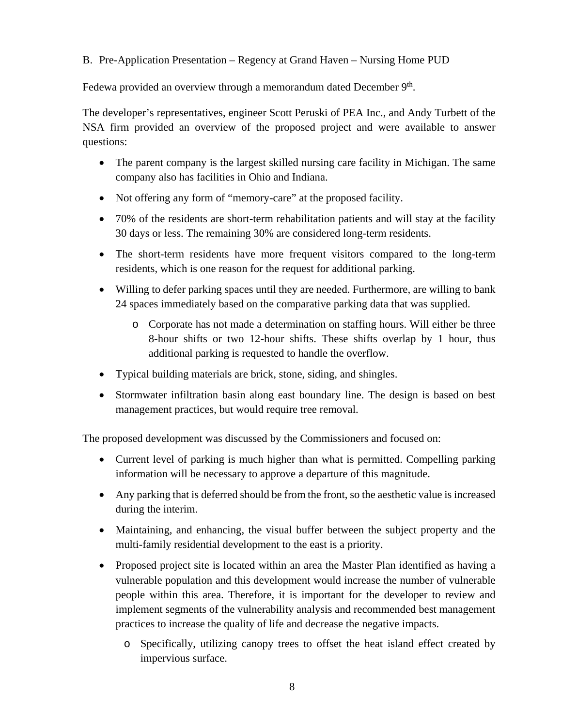B. Pre-Application Presentation – Regency at Grand Haven – Nursing Home PUD

Fedewa provided an overview through a memorandum dated December 9<sup>th</sup>.

The developer's representatives, engineer Scott Peruski of PEA Inc., and Andy Turbett of the NSA firm provided an overview of the proposed project and were available to answer questions:

- The parent company is the largest skilled nursing care facility in Michigan. The same company also has facilities in Ohio and Indiana.
- Not offering any form of "memory-care" at the proposed facility.
- 70% of the residents are short-term rehabilitation patients and will stay at the facility 30 days or less. The remaining 30% are considered long-term residents.
- The short-term residents have more frequent visitors compared to the long-term residents, which is one reason for the request for additional parking.
- Willing to defer parking spaces until they are needed. Furthermore, are willing to bank 24 spaces immediately based on the comparative parking data that was supplied.
	- o Corporate has not made a determination on staffing hours. Will either be three 8-hour shifts or two 12-hour shifts. These shifts overlap by 1 hour, thus additional parking is requested to handle the overflow.
- Typical building materials are brick, stone, siding, and shingles.
- Stormwater infiltration basin along east boundary line. The design is based on best management practices, but would require tree removal.

The proposed development was discussed by the Commissioners and focused on:

- Current level of parking is much higher than what is permitted. Compelling parking information will be necessary to approve a departure of this magnitude.
- Any parking that is deferred should be from the front, so the aesthetic value is increased during the interim.
- Maintaining, and enhancing, the visual buffer between the subject property and the multi-family residential development to the east is a priority.
- Proposed project site is located within an area the Master Plan identified as having a vulnerable population and this development would increase the number of vulnerable people within this area. Therefore, it is important for the developer to review and implement segments of the vulnerability analysis and recommended best management practices to increase the quality of life and decrease the negative impacts.
	- o Specifically, utilizing canopy trees to offset the heat island effect created by impervious surface.